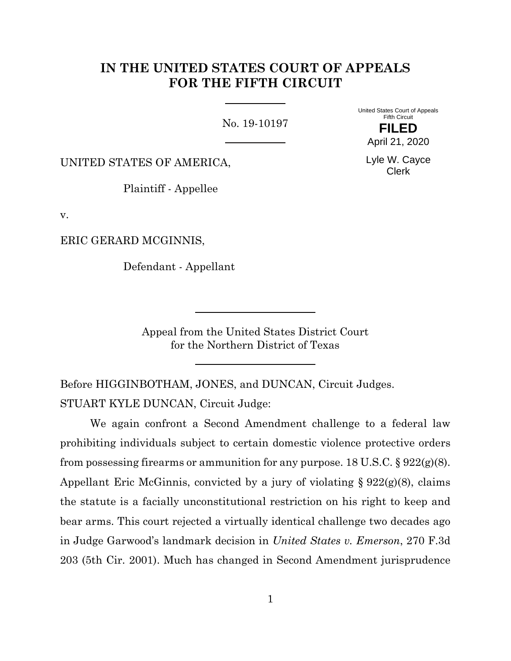# **IN THE UNITED STATES COURT OF APPEALS FOR THE FIFTH CIRCUIT**

No. 19-10197

United States Court of Appeals Fifth Circuit

UNITED STATES OF AMERICA,

Plaintiff - Appellee

v.

ERIC GERARD MCGINNIS,

Defendant - Appellant

**FILED** April 21, 2020

Lyle W. Cayce Clerk

Appeal from the United States District Court for the Northern District of Texas

Before HIGGINBOTHAM, JONES, and DUNCAN, Circuit Judges. STUART KYLE DUNCAN, Circuit Judge:

We again confront a Second Amendment challenge to a federal law prohibiting individuals subject to certain domestic violence protective orders from possessing firearms or ammunition for any purpose.  $18 \text{ U.S.C.}$  §  $922(g)(8)$ . Appellant Eric McGinnis, convicted by a jury of violating  $\S 922(g)(8)$ , claims the statute is a facially unconstitutional restriction on his right to keep and bear arms. This court rejected a virtually identical challenge two decades ago in Judge Garwood's landmark decision in *United States v. Emerson*, 270 F.3d 203 (5th Cir. 2001). Much has changed in Second Amendment jurisprudence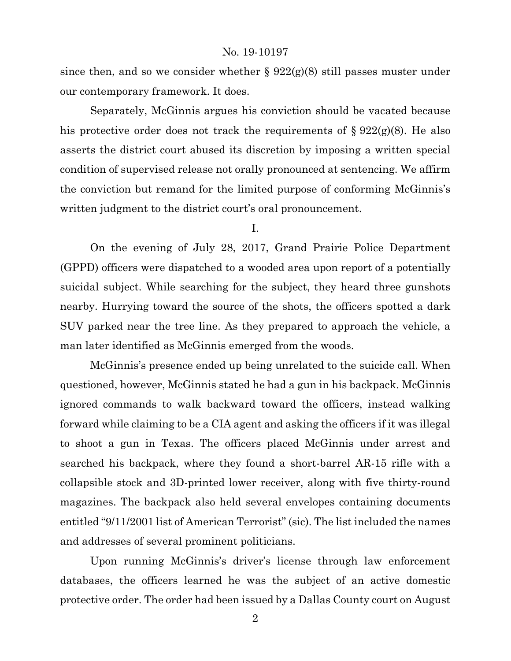since then, and so we consider whether  $\S 922(g)(8)$  still passes muster under our contemporary framework. It does.

Separately, McGinnis argues his conviction should be vacated because his protective order does not track the requirements of  $\S 922(g)(8)$ . He also asserts the district court abused its discretion by imposing a written special condition of supervised release not orally pronounced at sentencing. We affirm the conviction but remand for the limited purpose of conforming McGinnis's written judgment to the district court's oral pronouncement.

I.

On the evening of July 28, 2017, Grand Prairie Police Department (GPPD) officers were dispatched to a wooded area upon report of a potentially suicidal subject. While searching for the subject, they heard three gunshots nearby. Hurrying toward the source of the shots, the officers spotted a dark SUV parked near the tree line. As they prepared to approach the vehicle, a man later identified as McGinnis emerged from the woods.

McGinnis's presence ended up being unrelated to the suicide call. When questioned, however, McGinnis stated he had a gun in his backpack. McGinnis ignored commands to walk backward toward the officers, instead walking forward while claiming to be a CIA agent and asking the officers if it was illegal to shoot a gun in Texas. The officers placed McGinnis under arrest and searched his backpack, where they found a short-barrel AR-15 rifle with a collapsible stock and 3D-printed lower receiver, along with five thirty-round magazines. The backpack also held several envelopes containing documents entitled "9/11/2001 list of American Terrorist" (sic). The list included the names and addresses of several prominent politicians.

Upon running McGinnis's driver's license through law enforcement databases, the officers learned he was the subject of an active domestic protective order. The order had been issued by a Dallas County court on August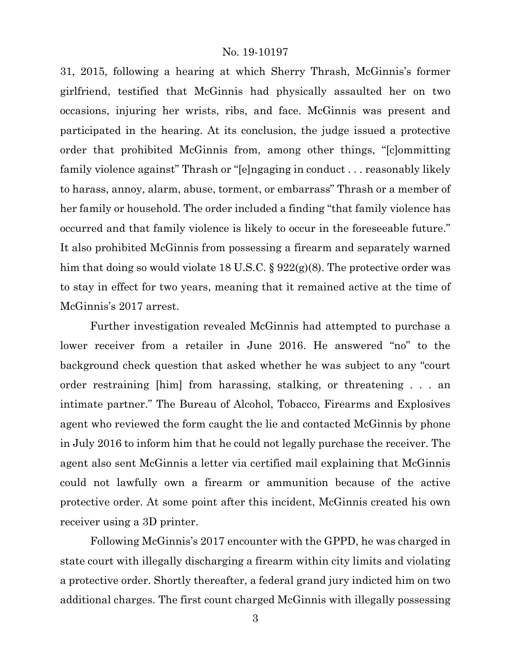31, 2015, following a hearing at which Sherry Thrash, McGinnis's former girlfriend, testified that McGinnis had physically assaulted her on two occasions, injuring her wrists, ribs, and face. McGinnis was present and participated in the hearing. At its conclusion, the judge issued a protective order that prohibited McGinnis from, among other things, "[c]ommitting family violence against" Thrash or "[e]ngaging in conduct . . . reasonably likely to harass, annoy, alarm, abuse, torment, or embarrass" Thrash or a member of her family or household. The order included a finding "that family violence has occurred and that family violence is likely to occur in the foreseeable future." It also prohibited McGinnis from possessing a firearm and separately warned him that doing so would violate 18 U.S.C. § 922(g)(8). The protective order was to stay in effect for two years, meaning that it remained active at the time of McGinnis's 2017 arrest.

Further investigation revealed McGinnis had attempted to purchase a lower receiver from a retailer in June 2016. He answered "no" to the background check question that asked whether he was subject to any "court order restraining [him] from harassing, stalking, or threatening . . . an intimate partner." The Bureau of Alcohol, Tobacco, Firearms and Explosives agent who reviewed the form caught the lie and contacted McGinnis by phone in July 2016 to inform him that he could not legally purchase the receiver. The agent also sent McGinnis a letter via certified mail explaining that McGinnis could not lawfully own a firearm or ammunition because of the active protective order. At some point after this incident, McGinnis created his own receiver using a 3D printer.

Following McGinnis's 2017 encounter with the GPPD, he was charged in state court with illegally discharging a firearm within city limits and violating a protective order. Shortly thereafter, a federal grand jury indicted him on two additional charges. The first count charged McGinnis with illegally possessing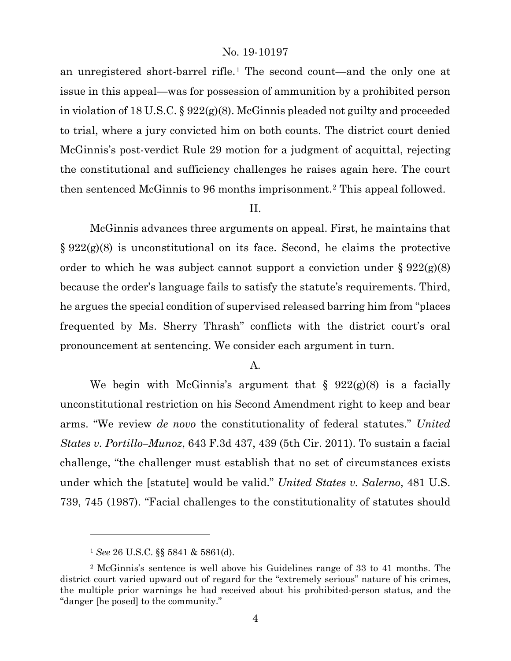an unregistered short-barrel rifle.[1](#page-3-0) The second count—and the only one at issue in this appeal—was for possession of ammunition by a prohibited person in violation of 18 U.S.C. § 922(g)(8). McGinnis pleaded not guilty and proceeded to trial, where a jury convicted him on both counts. The district court denied McGinnis's post-verdict Rule 29 motion for a judgment of acquittal, rejecting the constitutional and sufficiency challenges he raises again here. The court then sentenced McGinnis to 96 months imprisonment.[2](#page-3-1) This appeal followed.

# II.

McGinnis advances three arguments on appeal. First, he maintains that  $\S 922(g)(8)$  is unconstitutional on its face. Second, he claims the protective order to which he was subject cannot support a conviction under  $\S 922(g)(8)$ because the order's language fails to satisfy the statute's requirements. Third, he argues the special condition of supervised released barring him from "places frequented by Ms. Sherry Thrash" conflicts with the district court's oral pronouncement at sentencing. We consider each argument in turn.

# A.

We begin with McGinnis's argument that  $\S$  922(g)(8) is a facially unconstitutional restriction on his Second Amendment right to keep and bear arms. "We review *de novo* the constitutionality of federal statutes." *United States v. Portillo–Munoz*, 643 F.3d 437, 439 (5th Cir. 2011). To sustain a facial challenge, "the challenger must establish that no set of circumstances exists under which the [statute] would be valid." *United States v. Salerno*, 481 U.S. 739, 745 (1987). "Facial challenges to the constitutionality of statutes should

<sup>1</sup> *See* 26 U.S.C. §§ 5841 & 5861(d).

<span id="page-3-1"></span><span id="page-3-0"></span><sup>2</sup> McGinnis's sentence is well above his Guidelines range of 33 to 41 months. The district court varied upward out of regard for the "extremely serious" nature of his crimes, the multiple prior warnings he had received about his prohibited-person status, and the "danger [he posed] to the community."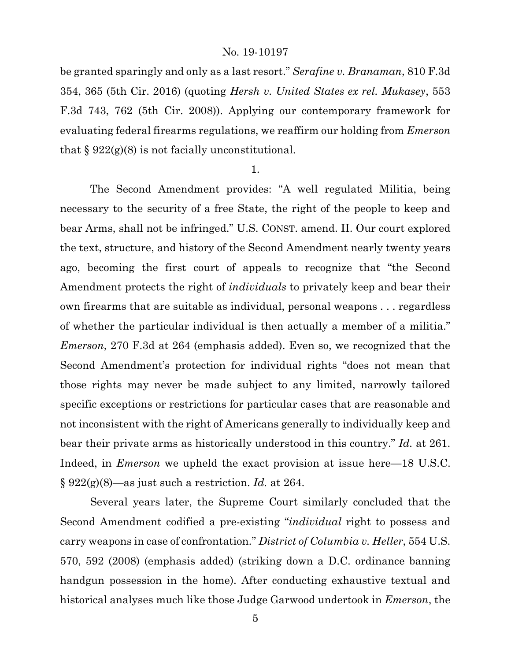be granted sparingly and only as a last resort." *Serafine v. Branaman*, 810 F.3d 354, 365 (5th Cir. 2016) (quoting *Hersh v. United States ex rel. Mukasey*, 553 F.3d 743, 762 (5th Cir. 2008)). Applying our contemporary framework for evaluating federal firearms regulations, we reaffirm our holding from *Emerson* that  $\S 922(g)(8)$  is not facially unconstitutional.

#### 1.

The Second Amendment provides: "A well regulated Militia, being necessary to the security of a free State, the right of the people to keep and bear Arms, shall not be infringed." U.S. CONST. amend. II. Our court explored the text, structure, and history of the Second Amendment nearly twenty years ago, becoming the first court of appeals to recognize that "the Second Amendment protects the right of *individuals* to privately keep and bear their own firearms that are suitable as individual, personal weapons . . . regardless of whether the particular individual is then actually a member of a militia." *Emerson*, 270 F.3d at 264 (emphasis added). Even so, we recognized that the Second Amendment's protection for individual rights "does not mean that those rights may never be made subject to any limited, narrowly tailored specific exceptions or restrictions for particular cases that are reasonable and not inconsistent with the right of Americans generally to individually keep and bear their private arms as historically understood in this country." *Id.* at 261. Indeed, in *Emerson* we upheld the exact provision at issue here—18 U.S.C. § 922(g)(8)—as just such a restriction. *Id.* at 264.

Several years later, the Supreme Court similarly concluded that the Second Amendment codified a pre-existing "*individual* right to possess and carry weapons in case of confrontation." *District of Columbia v. Heller*, 554 U.S. 570, 592 (2008) (emphasis added) (striking down a D.C. ordinance banning handgun possession in the home). After conducting exhaustive textual and historical analyses much like those Judge Garwood undertook in *Emerson*, the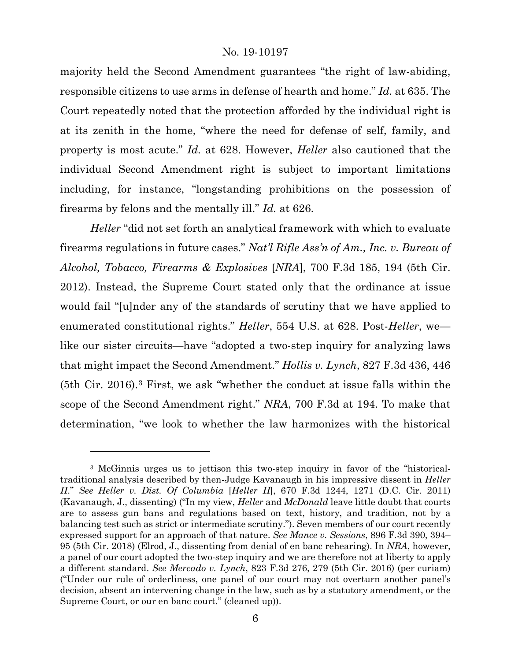majority held the Second Amendment guarantees "the right of law-abiding, responsible citizens to use arms in defense of hearth and home." *Id.* at 635. The Court repeatedly noted that the protection afforded by the individual right is at its zenith in the home, "where the need for defense of self, family, and property is most acute." *Id.* at 628. However, *Heller* also cautioned that the individual Second Amendment right is subject to important limitations including, for instance, "longstanding prohibitions on the possession of firearms by felons and the mentally ill." *Id.* at 626.

*Heller* "did not set forth an analytical framework with which to evaluate firearms regulations in future cases." *Nat'l Rifle Ass'n of Am., Inc. v. Bureau of Alcohol, Tobacco, Firearms & Explosives* [*NRA*], 700 F.3d 185, 194 (5th Cir. 2012). Instead, the Supreme Court stated only that the ordinance at issue would fail "[u]nder any of the standards of scrutiny that we have applied to enumerated constitutional rights." *Heller*, 554 U.S. at 628. Post-*Heller*, we like our sister circuits—have "adopted a two-step inquiry for analyzing laws that might impact the Second Amendment." *Hollis v. Lynch*, 827 F.3d 436, 446 (5th Cir. 2016).[3](#page-5-0) First, we ask "whether the conduct at issue falls within the scope of the Second Amendment right." *NRA*, 700 F.3d at 194. To make that determination, "we look to whether the law harmonizes with the historical

<span id="page-5-0"></span><sup>3</sup> McGinnis urges us to jettison this two-step inquiry in favor of the "historicaltraditional analysis described by then-Judge Kavanaugh in his impressive dissent in *Heller II*." *See Heller v. Dist. Of Columbia* [*Heller II*], 670 F.3d 1244, 1271 (D.C. Cir. 2011) (Kavanaugh, J., dissenting) ("In my view, *Heller* and *McDonald* leave little doubt that courts are to assess gun bans and regulations based on text, history, and tradition, not by a balancing test such as strict or intermediate scrutiny."). Seven members of our court recently expressed support for an approach of that nature. *See Mance v. Sessions*, 896 F.3d 390, 394– 95 (5th Cir. 2018) (Elrod, J., dissenting from denial of en banc rehearing). In *NRA*, however, a panel of our court adopted the two-step inquiry and we are therefore not at liberty to apply a different standard. *See Mercado v. Lynch*, 823 F.3d 276, 279 (5th Cir. 2016) (per curiam) ("Under our rule of orderliness, one panel of our court may not overturn another panel's decision, absent an intervening change in the law, such as by a statutory amendment, or the Supreme Court, or our en banc court." (cleaned up)).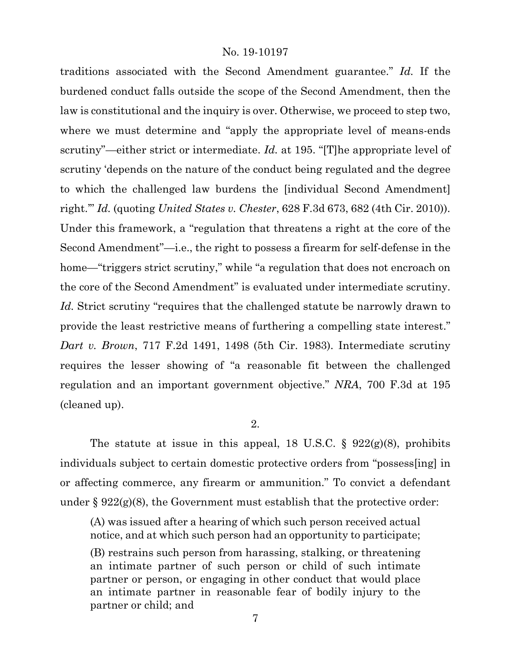traditions associated with the Second Amendment guarantee." *Id.* If the burdened conduct falls outside the scope of the Second Amendment, then the law is constitutional and the inquiry is over. Otherwise, we proceed to step two, where we must determine and "apply the appropriate level of means-ends scrutiny"—either strict or intermediate. *Id.* at 195. "[T]he appropriate level of scrutiny 'depends on the nature of the conduct being regulated and the degree to which the challenged law burdens the [individual Second Amendment] right.'" *Id.* (quoting *United States v. Chester*, 628 F.3d 673, 682 (4th Cir. 2010)). Under this framework, a "regulation that threatens a right at the core of the Second Amendment"—i.e., the right to possess a firearm for self-defense in the home—"triggers strict scrutiny," while "a regulation that does not encroach on the core of the Second Amendment" is evaluated under intermediate scrutiny. *Id.* Strict scrutiny "requires that the challenged statute be narrowly drawn to provide the least restrictive means of furthering a compelling state interest." *Dart v. Brown*, 717 F.2d 1491, 1498 (5th Cir. 1983). Intermediate scrutiny requires the lesser showing of "a reasonable fit between the challenged regulation and an important government objective." *NRA*, 700 F.3d at 195 (cleaned up).

# 2.

The statute at issue in this appeal, 18 U.S.C.  $\S$  922(g)(8), prohibits individuals subject to certain domestic protective orders from "possess[ing] in or affecting commerce, any firearm or ammunition." To convict a defendant under  $\S 922(g)(8)$ , the Government must establish that the protective order:

(A) was issued after a hearing of which such person received actual notice, and at which such person had an opportunity to participate;

(B) restrains such person from harassing, stalking, or threatening an intimate partner of such person or child of such intimate partner or person, or engaging in other conduct that would place an intimate partner in reasonable fear of bodily injury to the partner or child; and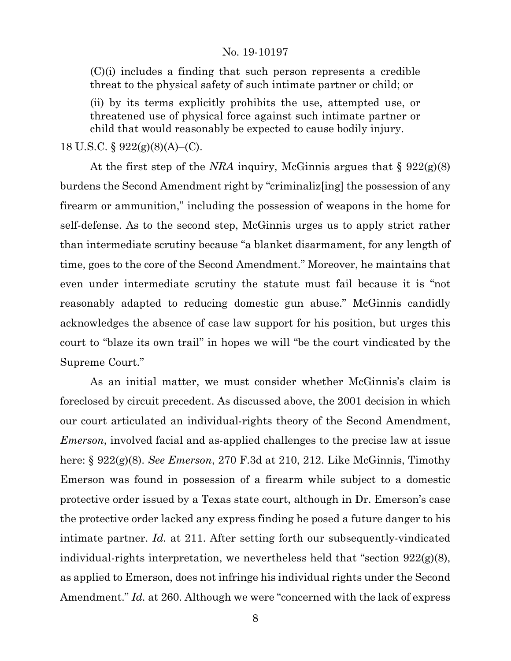(C)(i) includes a finding that such person represents a credible threat to the physical safety of such intimate partner or child; or

(ii) by its terms explicitly prohibits the use, attempted use, or threatened use of physical force against such intimate partner or child that would reasonably be expected to cause bodily injury.

18 U.S.C. § 922(g)(8)(A)–(C).

At the first step of the *NRA* inquiry, McGinnis argues that § 922(g)(8) burdens the Second Amendment right by "criminaliz[ing] the possession of any firearm or ammunition," including the possession of weapons in the home for self-defense. As to the second step, McGinnis urges us to apply strict rather than intermediate scrutiny because "a blanket disarmament, for any length of time, goes to the core of the Second Amendment." Moreover, he maintains that even under intermediate scrutiny the statute must fail because it is "not reasonably adapted to reducing domestic gun abuse." McGinnis candidly acknowledges the absence of case law support for his position, but urges this court to "blaze its own trail" in hopes we will "be the court vindicated by the Supreme Court."

As an initial matter, we must consider whether McGinnis's claim is foreclosed by circuit precedent. As discussed above, the 2001 decision in which our court articulated an individual-rights theory of the Second Amendment, *Emerson*, involved facial and as-applied challenges to the precise law at issue here: § 922(g)(8). *See Emerson*, 270 F.3d at 210, 212. Like McGinnis, Timothy Emerson was found in possession of a firearm while subject to a domestic protective order issued by a Texas state court, although in Dr. Emerson's case the protective order lacked any express finding he posed a future danger to his intimate partner. *Id.* at 211. After setting forth our subsequently-vindicated individual-rights interpretation, we nevertheless held that "section 922(g)(8), as applied to Emerson, does not infringe his individual rights under the Second Amendment." *Id.* at 260. Although we were "concerned with the lack of express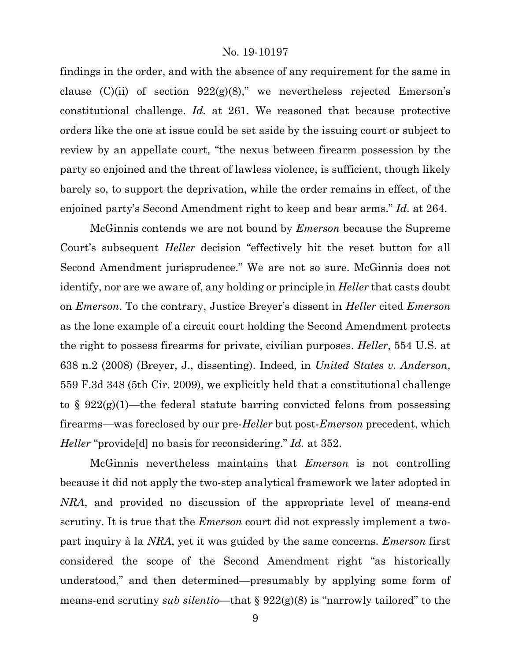findings in the order, and with the absence of any requirement for the same in clause  $(C)(ii)$  of section  $922(g)(8)$ ," we nevertheless rejected Emerson's constitutional challenge. *Id.* at 261. We reasoned that because protective orders like the one at issue could be set aside by the issuing court or subject to review by an appellate court, "the nexus between firearm possession by the party so enjoined and the threat of lawless violence, is sufficient, though likely barely so, to support the deprivation, while the order remains in effect, of the enjoined party's Second Amendment right to keep and bear arms." *Id.* at 264.

McGinnis contends we are not bound by *Emerson* because the Supreme Court's subsequent *Heller* decision "effectively hit the reset button for all Second Amendment jurisprudence." We are not so sure. McGinnis does not identify, nor are we aware of, any holding or principle in *Heller* that casts doubt on *Emerson*. To the contrary, Justice Breyer's dissent in *Heller* cited *Emerson* as the lone example of a circuit court holding the Second Amendment protects the right to possess firearms for private, civilian purposes. *Heller*, 554 U.S. at 638 n.2 (2008) (Breyer, J., dissenting). Indeed, in *United States v. Anderson*, 559 F.3d 348 (5th Cir. 2009), we explicitly held that a constitutional challenge to §  $922(g)(1)$ —the federal statute barring convicted felons from possessing firearms—was foreclosed by our pre-*Heller* but post-*Emerson* precedent, which *Heller* "provide[d] no basis for reconsidering." *Id.* at 352.

McGinnis nevertheless maintains that *Emerson* is not controlling because it did not apply the two-step analytical framework we later adopted in *NRA*, and provided no discussion of the appropriate level of means-end scrutiny. It is true that the *Emerson* court did not expressly implement a twopart inquiry à la *NRA*, yet it was guided by the same concerns. *Emerson* first considered the scope of the Second Amendment right "as historically understood," and then determined—presumably by applying some form of means-end scrutiny *sub silentio*—that § 922(g)(8) is "narrowly tailored" to the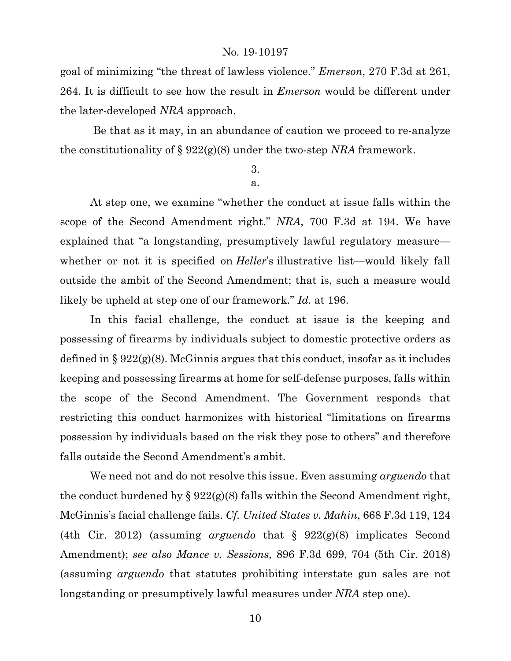goal of minimizing "the threat of lawless violence." *Emerson*, 270 F.3d at 261, 264. It is difficult to see how the result in *Emerson* would be different under the later-developed *NRA* approach.

Be that as it may, in an abundance of caution we proceed to re-analyze the constitutionality of § 922(g)(8) under the two-step *NRA* framework.

# 3. a.

At step one, we examine "whether the conduct at issue falls within the scope of the Second Amendment right." *NRA*, 700 F.3d at 194. We have explained that "a longstanding, presumptively lawful regulatory measure whether or not it is specified on *Heller's* illustrative list—would likely fall outside the ambit of the Second Amendment; that is, such a measure would likely be upheld at step one of our framework." *Id.* at 196.

In this facial challenge, the conduct at issue is the keeping and possessing of firearms by individuals subject to domestic protective orders as defined in § 922(g)(8). McGinnis argues that this conduct, insofar as it includes keeping and possessing firearms at home for self-defense purposes, falls within the scope of the Second Amendment. The Government responds that restricting this conduct harmonizes with historical "limitations on firearms possession by individuals based on the risk they pose to others" and therefore falls outside the Second Amendment's ambit.

We need not and do not resolve this issue. Even assuming *arguendo* that the conduct burdened by  $\S 922(g)(8)$  falls within the Second Amendment right, McGinnis's facial challenge fails. *Cf. United States v. Mahin*, 668 F.3d 119, 124 (4th Cir. 2012) (assuming *arguendo* that § 922(g)(8) implicates Second Amendment); *see also Mance v. Sessions*, 896 F.3d 699, 704 (5th Cir. 2018) (assuming *arguendo* that statutes prohibiting interstate gun sales are not longstanding or presumptively lawful measures under *NRA* step one).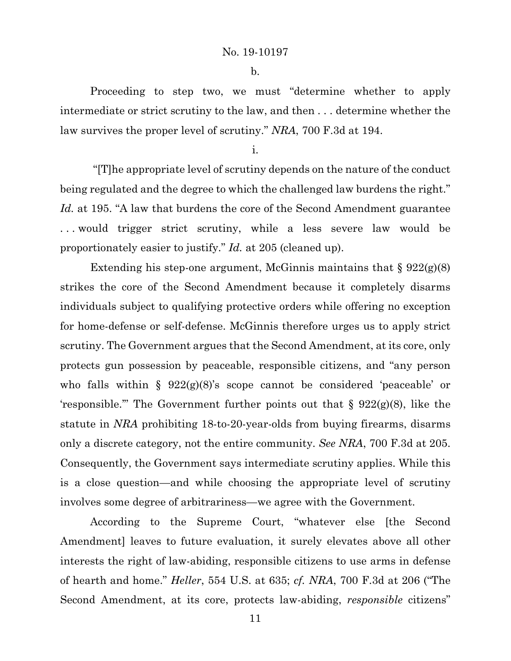b.

Proceeding to step two, we must "determine whether to apply intermediate or strict scrutiny to the law, and then . . . determine whether the law survives the proper level of scrutiny." *NRA*, 700 F.3d at 194.

i.

"[T]he appropriate level of scrutiny depends on the nature of the conduct being regulated and the degree to which the challenged law burdens the right." *Id.* at 195. "A law that burdens the core of the Second Amendment guarantee ... would trigger strict scrutiny, while a less severe law would be proportionately easier to justify." *Id.* at 205 (cleaned up).

Extending his step-one argument, McGinnis maintains that  $\S 922(g)(8)$ strikes the core of the Second Amendment because it completely disarms individuals subject to qualifying protective orders while offering no exception for home-defense or self-defense. McGinnis therefore urges us to apply strict scrutiny. The Government argues that the Second Amendment, at its core, only protects gun possession by peaceable, responsible citizens, and "any person who falls within  $\S$  922(g)(8)'s scope cannot be considered 'peaceable' or 'responsible.'" The Government further points out that  $\S$  922(g)(8), like the statute in *NRA* prohibiting 18-to-20-year-olds from buying firearms, disarms only a discrete category, not the entire community. *See NRA*, 700 F.3d at 205. Consequently, the Government says intermediate scrutiny applies. While this is a close question—and while choosing the appropriate level of scrutiny involves some degree of arbitrariness—we agree with the Government.

According to the Supreme Court, "whatever else [the Second Amendment] leaves to future evaluation, it surely elevates above all other interests the right of law-abiding, responsible citizens to use arms in defense of hearth and home." *Heller*, 554 U.S. at 635; *cf. NRA*, 700 F.3d at 206 ("The Second Amendment, at its core, protects law-abiding, *responsible* citizens"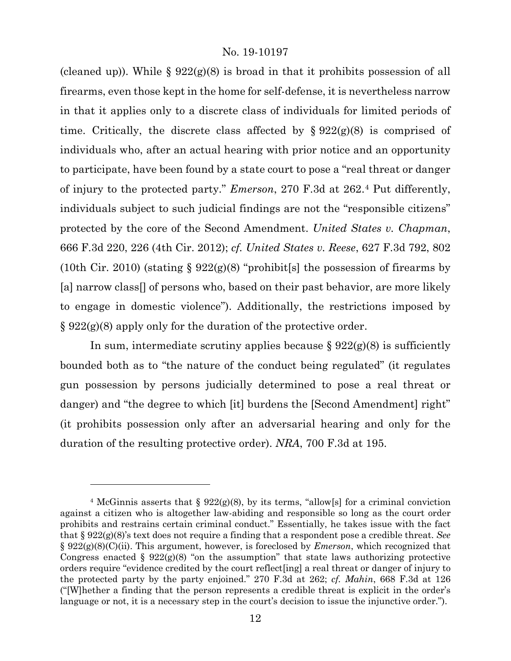(cleaned up)). While  $\S 922(g)(8)$  is broad in that it prohibits possession of all firearms, even those kept in the home for self-defense, it is nevertheless narrow in that it applies only to a discrete class of individuals for limited periods of time. Critically, the discrete class affected by  $\S 922(g)(8)$  is comprised of individuals who, after an actual hearing with prior notice and an opportunity to participate, have been found by a state court to pose a "real threat or danger of injury to the protected party." *Emerson*, 270 F.3d at 262.[4](#page-11-0) Put differently, individuals subject to such judicial findings are not the "responsible citizens" protected by the core of the Second Amendment. *United States v. Chapman*, 666 F.3d 220, 226 (4th Cir. 2012); *cf. United States v. Reese*, 627 F.3d 792, 802 (10th Cir. 2010) (stating  $\S 922(g)(8)$  "prohibit[s] the possession of firearms by [a] narrow class[] of persons who, based on their past behavior, are more likely to engage in domestic violence"). Additionally, the restrictions imposed by § 922(g)(8) apply only for the duration of the protective order.

In sum, intermediate scrutiny applies because  $\S 922(g)(8)$  is sufficiently bounded both as to "the nature of the conduct being regulated" (it regulates gun possession by persons judicially determined to pose a real threat or danger) and "the degree to which [it] burdens the [Second Amendment] right" (it prohibits possession only after an adversarial hearing and only for the duration of the resulting protective order). *NRA*, 700 F.3d at 195.

<span id="page-11-0"></span><sup>&</sup>lt;sup>4</sup> McGinnis asserts that §  $922(g)(8)$ , by its terms, "allow[s] for a criminal conviction against a citizen who is altogether law-abiding and responsible so long as the court order prohibits and restrains certain criminal conduct." Essentially, he takes issue with the fact that § 922(g)(8)'s text does not require a finding that a respondent pose a credible threat. *See*  § 922(g)(8)(C)(ii). This argument, however, is foreclosed by *Emerson*, which recognized that Congress enacted §  $922(g)(8)$  "on the assumption" that state laws authorizing protective orders require "evidence credited by the court reflect[ing] a real threat or danger of injury to the protected party by the party enjoined." 270 F.3d at 262; *cf. Mahin*, 668 F.3d at 126 ("[W]hether a finding that the person represents a credible threat is explicit in the order's language or not, it is a necessary step in the court's decision to issue the injunctive order.").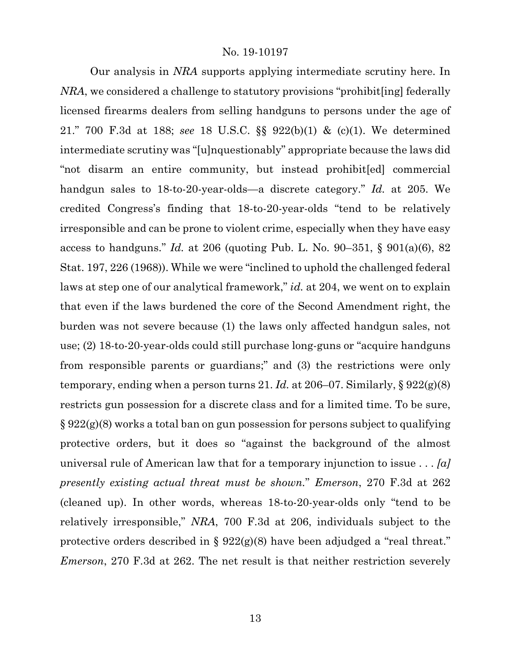Our analysis in *NRA* supports applying intermediate scrutiny here. In *NRA*, we considered a challenge to statutory provisions "prohibit[ing] federally licensed firearms dealers from selling handguns to persons under the age of 21." 700 F.3d at 188; *see* 18 U.S.C. §§ 922(b)(1) & (c)(1). We determined intermediate scrutiny was "[u]nquestionably" appropriate because the laws did "not disarm an entire community, but instead prohibit[ed] commercial handgun sales to 18-to-20-year-olds—a discrete category." *Id.* at 205. We credited Congress's finding that 18-to-20-year-olds "tend to be relatively irresponsible and can be prone to violent crime, especially when they have easy access to handguns." *Id.* at 206 (quoting Pub. L. No. 90–351, § 901(a)(6), 82 Stat. 197, 226 (1968)). While we were "inclined to uphold the challenged federal laws at step one of our analytical framework," *id.* at 204, we went on to explain that even if the laws burdened the core of the Second Amendment right, the burden was not severe because (1) the laws only affected handgun sales, not use; (2) 18-to-20-year-olds could still purchase long-guns or "acquire handguns from responsible parents or guardians;" and (3) the restrictions were only temporary, ending when a person turns 21. *Id.* at 206–07. Similarly, § 922(g)(8) restricts gun possession for a discrete class and for a limited time. To be sure, § 922(g)(8) works a total ban on gun possession for persons subject to qualifying protective orders, but it does so "against the background of the almost universal rule of American law that for a temporary injunction to issue . . . *[a] presently existing actual threat must be shown.*" *Emerson*, 270 F.3d at 262 (cleaned up). In other words, whereas 18-to-20-year-olds only "tend to be relatively irresponsible," *NRA*, 700 F.3d at 206, individuals subject to the protective orders described in § 922(g)(8) have been adjudged a "real threat." *Emerson*, 270 F.3d at 262. The net result is that neither restriction severely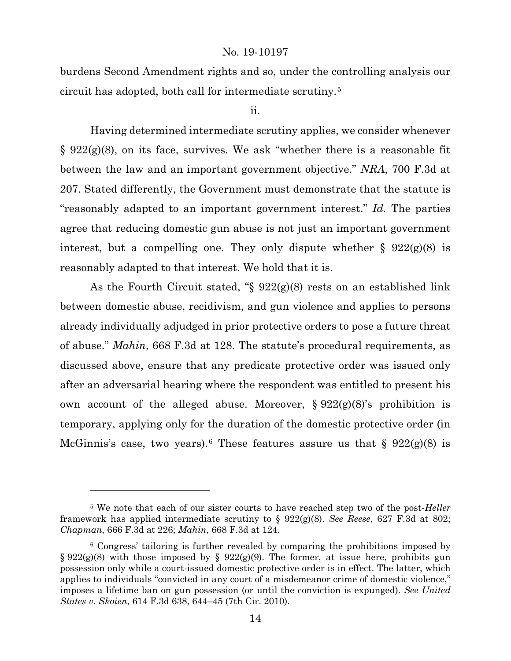burdens Second Amendment rights and so, under the controlling analysis our circuit has adopted, both call for intermediate scrutiny.[5](#page-13-0)

#### ii.

Having determined intermediate scrutiny applies, we consider whenever  $\S 922(g)(8)$ , on its face, survives. We ask "whether there is a reasonable fit between the law and an important government objective." *NRA*, 700 F.3d at 207. Stated differently, the Government must demonstrate that the statute is "reasonably adapted to an important government interest." *Id.* The parties agree that reducing domestic gun abuse is not just an important government interest, but a compelling one. They only dispute whether  $\S$  922(g)(8) is reasonably adapted to that interest. We hold that it is.

As the Fourth Circuit stated, "§ 922(g)(8) rests on an established link between domestic abuse, recidivism, and gun violence and applies to persons already individually adjudged in prior protective orders to pose a future threat of abuse." *Mahin*, 668 F.3d at 128. The statute's procedural requirements, as discussed above, ensure that any predicate protective order was issued only after an adversarial hearing where the respondent was entitled to present his own account of the alleged abuse. Moreover,  $\S 922(g)(8)$ 's prohibition is temporary, applying only for the duration of the domestic protective order (in McGinnis's case, two years).<sup>[6](#page-13-1)</sup> These features assure us that  $\S$  922(g)(8) is

<span id="page-13-0"></span><sup>5</sup> We note that each of our sister courts to have reached step two of the post-*Heller*  framework has applied intermediate scrutiny to § 922(g)(8). *See Reese*, 627 F.3d at 802; *Chapman*, 666 F.3d at 226; *Mahin*, 668 F.3d at 124.

<span id="page-13-1"></span><sup>6</sup> Congress' tailoring is further revealed by comparing the prohibitions imposed by § 922(g)(8) with those imposed by § 922(g)(9). The former, at issue here, prohibits gun possession only while a court-issued domestic protective order is in effect. The latter, which applies to individuals "convicted in any court of a misdemeanor crime of domestic violence," imposes a lifetime ban on gun possession (or until the conviction is expunged). *See United States v. Skoien*, 614 F.3d 638, 644–45 (7th Cir. 2010).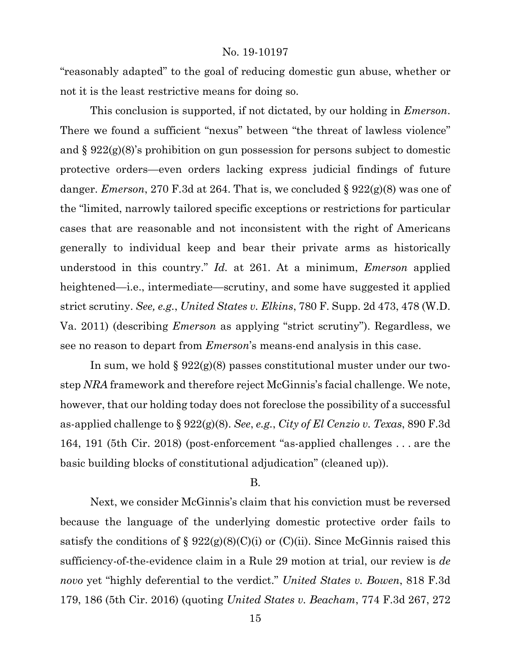"reasonably adapted" to the goal of reducing domestic gun abuse, whether or not it is the least restrictive means for doing so.

This conclusion is supported, if not dictated, by our holding in *Emerson*. There we found a sufficient "nexus" between "the threat of lawless violence" and § 922(g)(8)'s prohibition on gun possession for persons subject to domestic protective orders—even orders lacking express judicial findings of future danger. *Emerson*, 270 F.3d at 264. That is, we concluded § 922(g)(8) was one of the "limited, narrowly tailored specific exceptions or restrictions for particular cases that are reasonable and not inconsistent with the right of Americans generally to individual keep and bear their private arms as historically understood in this country." *Id.* at 261. At a minimum, *Emerson* applied heightened—i.e., intermediate—scrutiny, and some have suggested it applied strict scrutiny. *See, e.g.*, *United States v. Elkins*, 780 F. Supp. 2d 473, 478 (W.D. Va. 2011) (describing *Emerson* as applying "strict scrutiny"). Regardless, we see no reason to depart from *Emerson*'s means-end analysis in this case.

In sum, we hold  $\S 922(g)(8)$  passes constitutional muster under our twostep *NRA* framework and therefore reject McGinnis's facial challenge. We note, however, that our holding today does not foreclose the possibility of a successful as-applied challenge to § 922(g)(8). *See*, *e.g.*, *City of El Cenzio v. Texas*, 890 F.3d 164, 191 (5th Cir. 2018) (post-enforcement "as-applied challenges . . . are the basic building blocks of constitutional adjudication" (cleaned up)).

#### B.

Next, we consider McGinnis's claim that his conviction must be reversed because the language of the underlying domestic protective order fails to satisfy the conditions of §  $922(g)(8)(C)(i)$  or  $(C)(ii)$ . Since McGinnis raised this sufficiency-of-the-evidence claim in a Rule 29 motion at trial, our review is *de novo* yet "highly deferential to the verdict." *United States v. Bowen*, 818 F.3d 179, 186 (5th Cir. 2016) (quoting *United States v. Beacham*, 774 F.3d 267, 272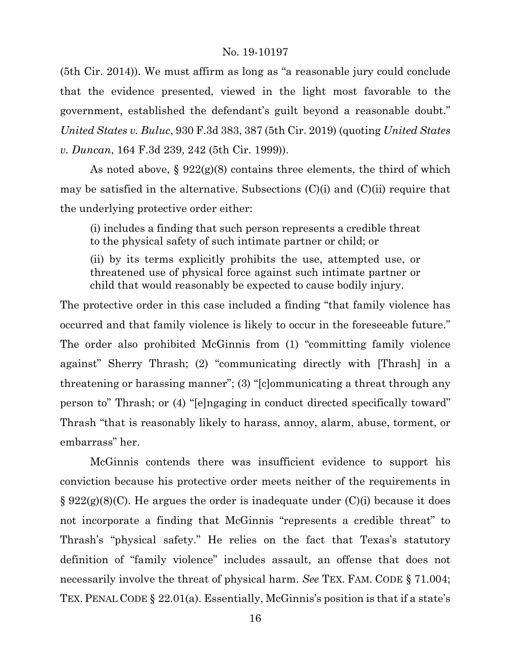(5th Cir. 2014)). We must affirm as long as "a reasonable jury could conclude that the evidence presented, viewed in the light most favorable to the government, established the defendant's guilt beyond a reasonable doubt." *United States v. Buluc*, 930 F.3d 383, 387 (5th Cir. 2019) (quoting *United States v. Duncan*, 164 F.3d 239, 242 (5th Cir. 1999)).

As noted above,  $\S 922(g)(8)$  contains three elements, the third of which may be satisfied in the alternative. Subsections  $(C)(i)$  and  $(C)(ii)$  require that the underlying protective order either:

(i) includes a finding that such person represents a credible threat to the physical safety of such intimate partner or child; or

(ii) by its terms explicitly prohibits the use, attempted use, or threatened use of physical force against such intimate partner or child that would reasonably be expected to cause bodily injury.

The protective order in this case included a finding "that family violence has occurred and that family violence is likely to occur in the foreseeable future." The order also prohibited McGinnis from (1) "committing family violence against" Sherry Thrash; (2) "communicating directly with [Thrash] in a threatening or harassing manner"; (3) "[c]ommunicating a threat through any person to" Thrash; or (4) "[e]ngaging in conduct directed specifically toward" Thrash "that is reasonably likely to harass, annoy, alarm, abuse, torment, or embarrass" her.

McGinnis contends there was insufficient evidence to support his conviction because his protective order meets neither of the requirements in  $\S 922(g)(8)(C)$ . He argues the order is inadequate under  $(C)(i)$  because it does not incorporate a finding that McGinnis "represents a credible threat" to Thrash's "physical safety." He relies on the fact that Texas's statutory definition of "family violence" includes assault, an offense that does not necessarily involve the threat of physical harm. *See* TEX. FAM. CODE § 71.004; TEX. PENAL CODE § 22.01(a). Essentially, McGinnis's position is that if a state's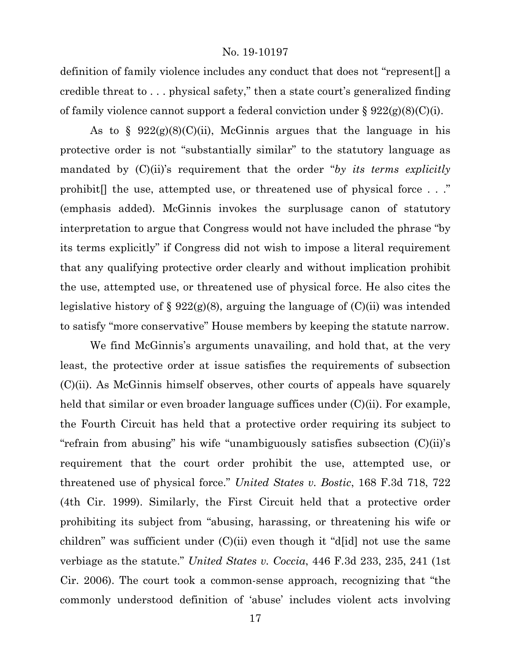definition of family violence includes any conduct that does not "represent[] a credible threat to . . . physical safety," then a state court's generalized finding of family violence cannot support a federal conviction under  $\S 922(g)(8)(C)(i)$ .

As to  $\S$  922(g)(8)(C)(ii), McGinnis argues that the language in his protective order is not "substantially similar" to the statutory language as mandated by (C)(ii)'s requirement that the order "*by its terms explicitly* prohibit[] the use, attempted use, or threatened use of physical force . . ." (emphasis added). McGinnis invokes the surplusage canon of statutory interpretation to argue that Congress would not have included the phrase "by its terms explicitly" if Congress did not wish to impose a literal requirement that any qualifying protective order clearly and without implication prohibit the use, attempted use, or threatened use of physical force. He also cites the legislative history of § 922(g)(8), arguing the language of  $(C)(ii)$  was intended to satisfy "more conservative" House members by keeping the statute narrow.

We find McGinnis's arguments unavailing, and hold that, at the very least, the protective order at issue satisfies the requirements of subsection (C)(ii). As McGinnis himself observes, other courts of appeals have squarely held that similar or even broader language suffices under  $(C)(ii)$ . For example, the Fourth Circuit has held that a protective order requiring its subject to "refrain from abusing" his wife "unambiguously satisfies subsection (C)(ii)'s requirement that the court order prohibit the use, attempted use, or threatened use of physical force." *United States v. Bostic*, 168 F.3d 718, 722 (4th Cir. 1999). Similarly, the First Circuit held that a protective order prohibiting its subject from "abusing, harassing, or threatening his wife or children" was sufficient under (C)(ii) even though it "d[id] not use the same verbiage as the statute." *United States v. Coccia*, 446 F.3d 233, 235, 241 (1st Cir. 2006). The court took a common-sense approach, recognizing that "the commonly understood definition of 'abuse' includes violent acts involving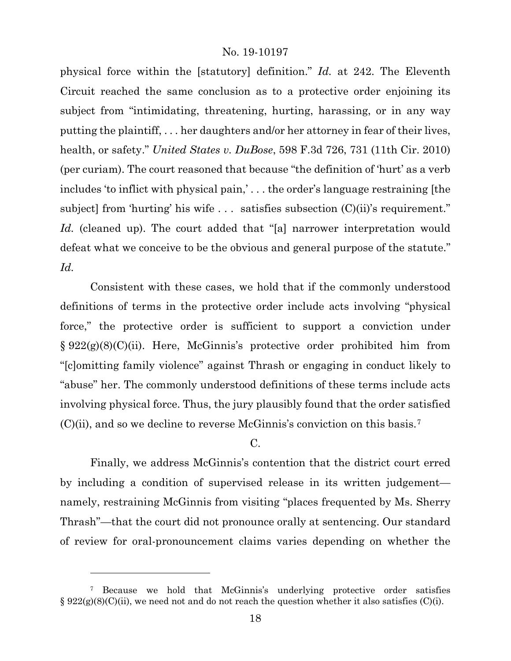physical force within the [statutory] definition." *Id.* at 242. The Eleventh Circuit reached the same conclusion as to a protective order enjoining its subject from "intimidating, threatening, hurting, harassing, or in any way putting the plaintiff, . . . her daughters and/or her attorney in fear of their lives, health, or safety." *United States v. DuBose*, 598 F.3d 726, 731 (11th Cir. 2010) (per curiam). The court reasoned that because "the definition of 'hurt' as a verb includes 'to inflict with physical pain,' . . . the order's language restraining [the subject] from 'hurting' his wife ... satisfies subsection  $(C)(ii)$ 's requirement." Id. (cleaned up). The court added that "[a] narrower interpretation would defeat what we conceive to be the obvious and general purpose of the statute." *Id.*

Consistent with these cases, we hold that if the commonly understood definitions of terms in the protective order include acts involving "physical force," the protective order is sufficient to support a conviction under § 922(g)(8)(C)(ii). Here, McGinnis's protective order prohibited him from "[c]omitting family violence" against Thrash or engaging in conduct likely to "abuse" her. The commonly understood definitions of these terms include acts involving physical force. Thus, the jury plausibly found that the order satisfied  $(C)(ii)$ , and so we decline to reverse McGinnis's conviction on this basis.<sup>[7](#page-17-0)</sup>

# C.

Finally, we address McGinnis's contention that the district court erred by including a condition of supervised release in its written judgement namely, restraining McGinnis from visiting "places frequented by Ms. Sherry Thrash"—that the court did not pronounce orally at sentencing. Our standard of review for oral-pronouncement claims varies depending on whether the

<span id="page-17-0"></span><sup>7</sup> Because we hold that McGinnis's underlying protective order satisfies  $\S 922(g)(8)(C)(ii)$ , we need not and do not reach the question whether it also satisfies (C)(i).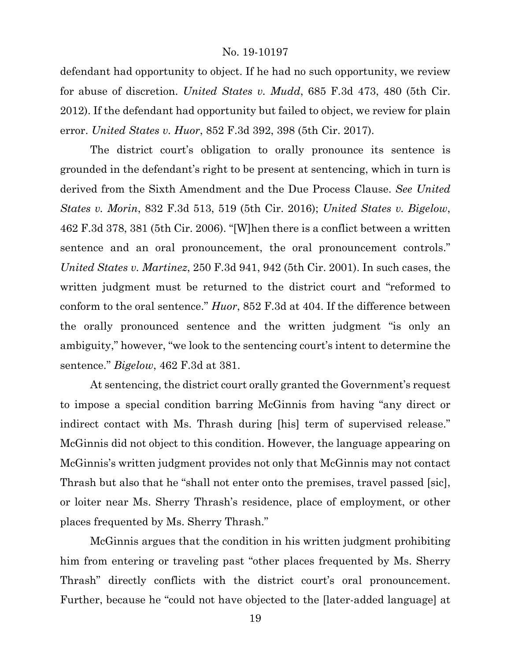defendant had opportunity to object. If he had no such opportunity, we review for abuse of discretion. *United States v. Mudd*, 685 F.3d 473, 480 (5th Cir. 2012). If the defendant had opportunity but failed to object, we review for plain error. *United States v. Huor*, 852 F.3d 392, 398 (5th Cir. 2017).

The district court's obligation to orally pronounce its sentence is grounded in the defendant's right to be present at sentencing, which in turn is derived from the Sixth Amendment and the Due Process Clause. *See United States v. Morin*, 832 F.3d 513, 519 (5th Cir. 2016); *United States v. Bigelow*, 462 F.3d 378, 381 (5th Cir. 2006). "[W]hen there is a conflict between a written sentence and an oral pronouncement, the oral pronouncement controls." *United States v. Martinez*, 250 F.3d 941, 942 (5th Cir. 2001). In such cases, the written judgment must be returned to the district court and "reformed to conform to the oral sentence." *Huor*, 852 F.3d at 404. If the difference between the orally pronounced sentence and the written judgment "is only an ambiguity," however, "we look to the sentencing court's intent to determine the sentence." *Bigelow*, 462 F.3d at 381.

At sentencing, the district court orally granted the Government's request to impose a special condition barring McGinnis from having "any direct or indirect contact with Ms. Thrash during [his] term of supervised release." McGinnis did not object to this condition. However, the language appearing on McGinnis's written judgment provides not only that McGinnis may not contact Thrash but also that he "shall not enter onto the premises, travel passed [sic], or loiter near Ms. Sherry Thrash's residence, place of employment, or other places frequented by Ms. Sherry Thrash."

McGinnis argues that the condition in his written judgment prohibiting him from entering or traveling past "other places frequented by Ms. Sherry Thrash" directly conflicts with the district court's oral pronouncement. Further, because he "could not have objected to the [later-added language] at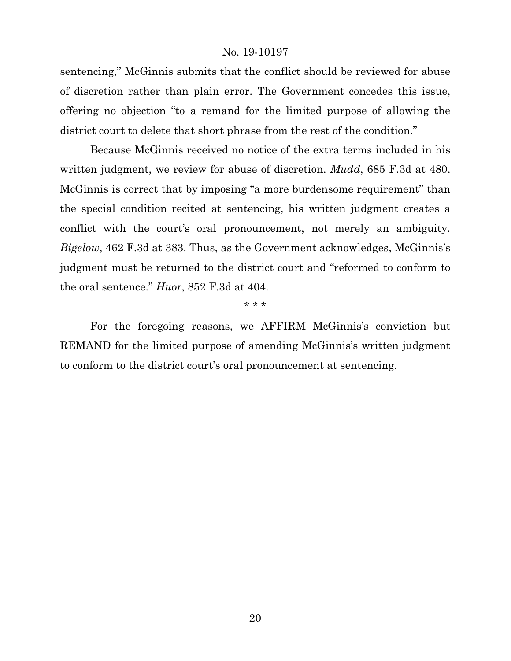sentencing," McGinnis submits that the conflict should be reviewed for abuse of discretion rather than plain error. The Government concedes this issue, offering no objection "to a remand for the limited purpose of allowing the district court to delete that short phrase from the rest of the condition."

Because McGinnis received no notice of the extra terms included in his written judgment, we review for abuse of discretion. *Mudd*, 685 F.3d at 480. McGinnis is correct that by imposing "a more burdensome requirement" than the special condition recited at sentencing, his written judgment creates a conflict with the court's oral pronouncement, not merely an ambiguity. *Bigelow*, 462 F.3d at 383. Thus, as the Government acknowledges, McGinnis's judgment must be returned to the district court and "reformed to conform to the oral sentence." *Huor*, 852 F.3d at 404.

\* \* \*

For the foregoing reasons, we AFFIRM McGinnis's conviction but REMAND for the limited purpose of amending McGinnis's written judgment to conform to the district court's oral pronouncement at sentencing.